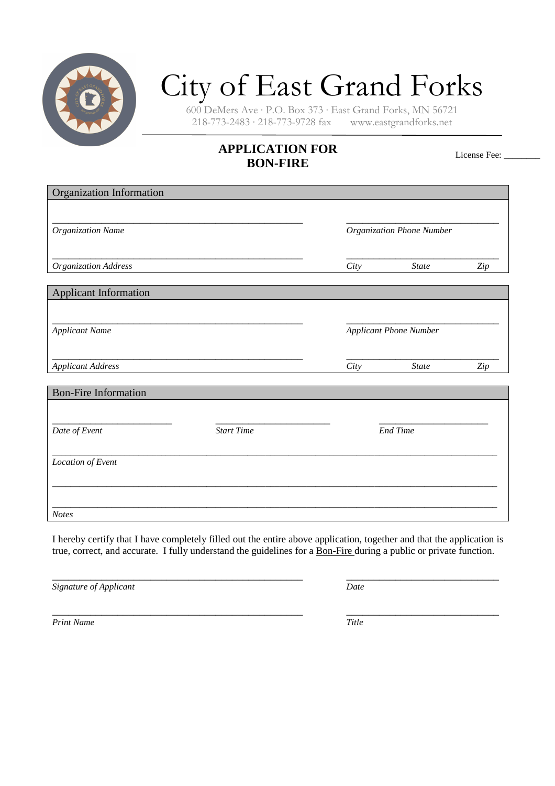

## City of East Grand Forks

600 DeMers Ave · P.O. Box 373 · East Grand Forks, MN 56721  $218 - 773 - 2483 \cdot 218 - 773 - 9728$  fax

## **APPLICATION FOR BON-FIRE**

License Fee: \_\_\_\_\_\_\_\_

| <b>Organization Information</b> |                   |                               |              |     |
|---------------------------------|-------------------|-------------------------------|--------------|-----|
|                                 |                   |                               |              |     |
| Organization Name               |                   | Organization Phone Number     |              |     |
| Organization Address            |                   | City                          | <b>State</b> | Zip |
|                                 |                   |                               |              |     |
| <b>Applicant Information</b>    |                   |                               |              |     |
|                                 |                   |                               |              |     |
| <b>Applicant Name</b>           |                   | <b>Applicant Phone Number</b> |              |     |
|                                 |                   |                               |              |     |
| <b>Applicant Address</b>        |                   | City                          | <b>State</b> | Zip |
| <b>Bon-Fire Information</b>     |                   |                               |              |     |
|                                 |                   |                               |              |     |
| Date of Event                   | <b>Start Time</b> | <b>End Time</b>               |              |     |
| Location of Event               |                   |                               |              |     |
|                                 |                   |                               |              |     |
|                                 |                   |                               |              |     |
| <b>Notes</b>                    |                   |                               |              |     |

I hereby certify that I have completely filled out the entire above application, together and that the application is true, correct, and accurate. I fully understand the guidelines for a Bon-Fire during a public or private function.

*Signature of Applicant* Date **Date Date Date** 

\_\_\_\_\_\_\_\_\_\_\_\_\_\_\_\_\_\_\_\_\_\_\_\_\_\_\_\_\_\_\_\_\_\_\_\_\_\_\_\_\_\_\_\_\_\_ \_\_\_\_\_\_\_\_\_\_\_\_\_\_\_\_\_\_\_\_\_\_\_\_\_\_\_\_

\_\_\_\_\_\_\_\_\_\_\_\_\_\_\_\_\_\_\_\_\_\_\_\_\_\_\_\_\_\_\_\_\_\_\_\_\_\_\_\_\_\_\_\_\_\_ \_\_\_\_\_\_\_\_\_\_\_\_\_\_\_\_\_\_\_\_\_\_\_\_\_\_\_\_ *Print Name Title*